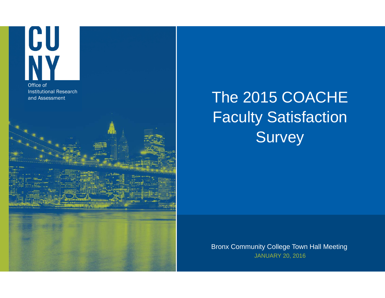

## The 2015 COACHE Faculty Satisfaction Survey

Bronx Community College Town Hall Meeting JANUARY 20, 2016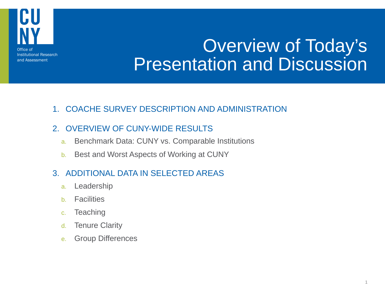

# Overview of Today's Presentation and Discussion

1. COACHE SURVEY DESCRIPTION AND ADMINISTRATION

#### 2. OVERVIEW OF CUNY-WIDE RESULTS

- a.Benchmark Data: CUNY vs. Comparable Institutions
- b.Best and Worst Aspects of Working at CUNY

### 3. ADDITIONAL DATA IN SELECTED AREAS

- a.Leadership
- b.**Facilities**
- c.**Teaching**
- d.Tenure Clarity
- e.Group Differences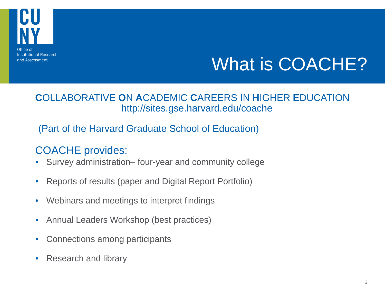

# What is COACHE?

### **C**OLLABORATIVE **O**N **A**CADEMIC **C**AREERS IN **H**IGHER **E**DUCATIONhttp://sites.gse.harvard.edu/coache

### (Part of the Harvard Graduate School of Education)

### COACHE provides:

- •Survey administration– four-year and community college
- •Reports of results (paper and Digital Report Portfolio)
- •Webinars and meetings to interpret findings
- •Annual Leaders Workshop (best practices)
- •Connections among participants
- •Research and library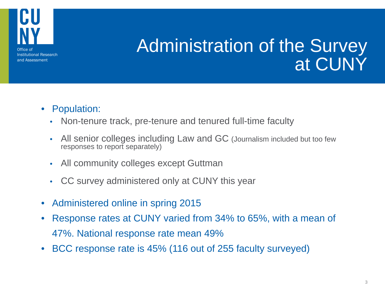

# Administration of the Survey at CUNY

- Population:
	- $\bullet$ Non-tenure track, pre-tenure and tenured full-time faculty
	- • All senior colleges including Law and GC (Journalism included but too few responses to report separately)
	- •All community colleges except Guttman
	- $\bullet$ CC survey administered only at CUNY this year
- •Administered online in spring 2015
- • Response rates at CUNY varied from 34% to 65%, with a mean of 47%. National response rate mean 49%
- •BCC response rate is 45% (116 out of 255 faculty surveyed)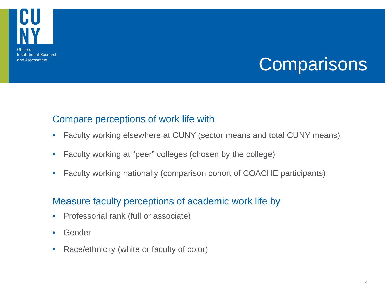

# **Comparisons**

### Compare perceptions of work life with

- $\bullet$ Faculty working elsewhere at CUNY (sector means and total CUNY means)
- $\bullet$ Faculty working at "peer" colleges (chosen by the college)
- $\bullet$ Faculty working nationally (comparison cohort of COACHE participants)

### Measure faculty perceptions of academic work life by

- $\bullet$ Professorial rank (full or associate)
- $\bullet$ Gender
- $\bullet$ Race/ethnicity (white or faculty of color)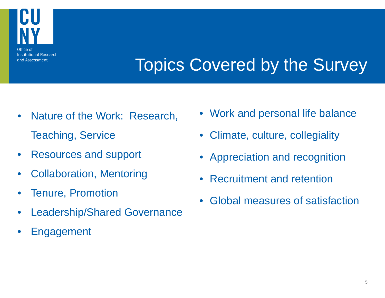

# Topics Covered by the Survey

- $\bullet$  Nature of the Work: Research, Teaching, Service
- $\bullet$ Resources and support
- •Collaboration, Mentoring
- $\bullet$ Tenure, Promotion
- •Leadership/Shared Governance
- •Engagement
- Work and personal life balance
- •Climate, culture, collegiality
- Appreciation and recognition
- •Recruitment and retention
- •Global measures of satisfaction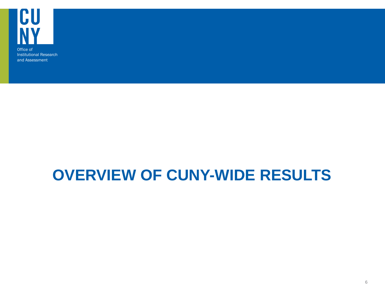

### **OVERVIEW OF CUNY-WIDE RESULTS**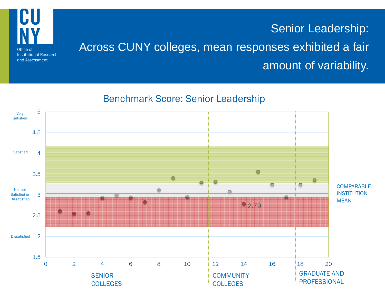

### Senior Leadership: Across CUNY colleges, mean responses exhibited a fair amount of variability.

#### Benchmark Score: Senior Leadership

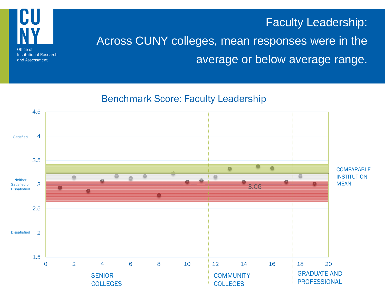### Faculty Leadership:



Institutional Research and Assessment

### Across CUNY colleges, mean responses were in the average or below average range.

### Benchmark Score: Faculty Leadership

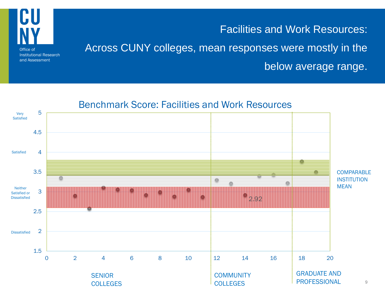

Facilities and Work Resources: Across CUNY colleges, mean responses were mostly in the below average range.

### Benchmark Score: Facilities and Work Resources

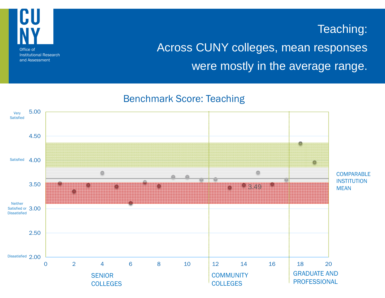

### and Assessment

### Teaching:

### Across CUNY colleges, mean responses were mostly in the average range.

#### Benchmark Score: Teaching

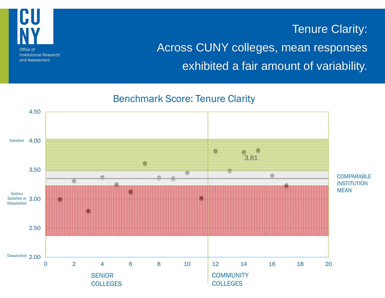

### Tenure Clarity: Across CUNY colleges, mean responses exhibited a fair amount of variability.

#### Benchmark Score: Tenure Clarity

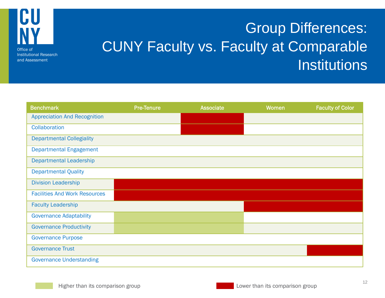

## Group Differences: CUNY Faculty vs. Faculty at Comparable Institutions

| <b>Benchmark</b>                     | <b>Pre-Tenure</b> | Associate | Women | <b>Faculty of Color</b> |
|--------------------------------------|-------------------|-----------|-------|-------------------------|
| <b>Appreciation And Recognition</b>  |                   |           |       |                         |
| Collaboration                        |                   |           |       |                         |
| <b>Departmental Collegiality</b>     |                   |           |       |                         |
| <b>Departmental Engagement</b>       |                   |           |       |                         |
| <b>Departmental Leadership</b>       |                   |           |       |                         |
| <b>Departmental Quality</b>          |                   |           |       |                         |
| <b>Division Leadership</b>           |                   |           |       |                         |
| <b>Facilities And Work Resources</b> |                   |           |       |                         |
| <b>Faculty Leadership</b>            |                   |           |       |                         |
| <b>Governance Adaptability</b>       |                   |           |       |                         |
| <b>Governance Productivity</b>       |                   |           |       |                         |
| <b>Governance Purpose</b>            |                   |           |       |                         |
| <b>Governance Trust</b>              |                   |           |       |                         |
| <b>Governance Understanding</b>      |                   |           |       |                         |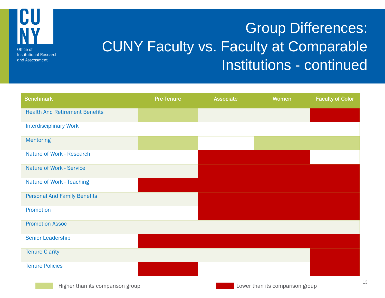

## Group Differences: CUNY Faculty vs. Faculty at Comparable Institutions - continued

| <b>Benchmark</b>                      | <b>Pre-Tenure</b> | <b>Associate</b> | Women | <b>Faculty of Color</b> |
|---------------------------------------|-------------------|------------------|-------|-------------------------|
| <b>Health And Retirement Benefits</b> |                   |                  |       |                         |
| <b>Interdisciplinary Work</b>         |                   |                  |       |                         |
| <b>Mentoring</b>                      |                   |                  |       |                         |
| Nature of Work - Research             |                   |                  |       |                         |
| <b>Nature of Work - Service</b>       |                   |                  |       |                         |
| Nature of Work - Teaching             |                   |                  |       |                         |
| <b>Personal And Family Benefits</b>   |                   |                  |       |                         |
| Promotion                             |                   |                  |       |                         |
| <b>Promotion Assoc</b>                |                   |                  |       |                         |
| Senior Leadership                     |                   |                  |       |                         |
| <b>Tenure Clarity</b>                 |                   |                  |       |                         |
| <b>Tenure Policies</b>                |                   |                  |       |                         |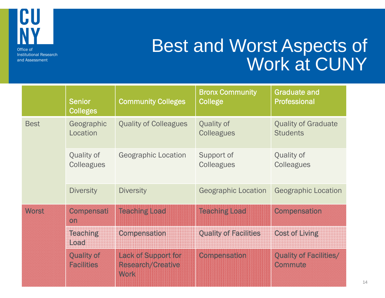

## Best and Worst Aspects of Work at CUNY

|              | <b>Senior</b><br><b>Colleges</b>       | <b>Community Colleges</b>                                      | <b>Bronx Community</b><br>College      | <b>Graduate and</b><br><b>Professional</b>    |
|--------------|----------------------------------------|----------------------------------------------------------------|----------------------------------------|-----------------------------------------------|
| <b>Best</b>  | Geographic<br>Location                 | <b>Quality of Colleagues</b>                                   | <b>Quality of</b><br><b>Colleagues</b> | <b>Quality of Graduate</b><br><b>Students</b> |
|              | Quality of<br><b>Colleagues</b>        | <b>Geographic Location</b>                                     | Support of<br><b>Colleagues</b>        | Quality of<br><b>Colleagues</b>               |
|              | <b>Diversity</b>                       | <b>Diversity</b>                                               | <b>Geographic Location</b>             | <b>Geographic Location</b>                    |
| <b>Worst</b> | Compensati<br>on                       | Teaching Load                                                  | <b>Teaching Load</b>                   | <b>Compensation</b>                           |
|              | <b>Teaching</b><br>$L$ 030             | <b>Compensation</b>                                            | <b>Quality of Facilities</b>           | <b>Cost of Living</b>                         |
|              | <b>Quality of</b><br><b>Facilities</b> | Lack of Support for<br><b>Research/Creative</b><br><b>Work</b> | Compensation                           | <b>Quality of Facilities/</b><br>Commute      |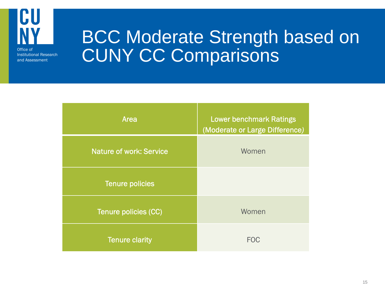

## BCC Moderate Strength based on CUNY CC Comparisons

| <b>Area</b>                    | <b>Lower benchmark Ratings</b><br>(Moderate or Large Difference) |
|--------------------------------|------------------------------------------------------------------|
| <b>Nature of work: Service</b> | Women                                                            |
| <b>Tenure policies</b>         |                                                                  |
| Tenure policies (CC)           | Women                                                            |
| <b>Tenure clarity</b>          | <b>FOC</b>                                                       |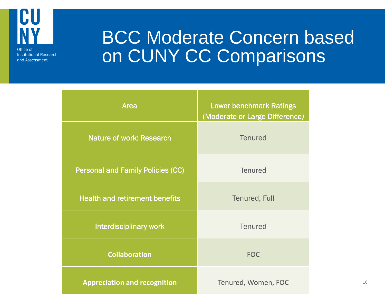

## BCC Moderate Concern based on CUNY CC Comparisons

| <b>Area</b>                              | <b>Lower benchmark Ratings</b><br>(Moderate or Large Difference) |
|------------------------------------------|------------------------------------------------------------------|
| <b>Nature of work: Research</b>          | <b>Tenured</b>                                                   |
| <b>Personal and Family Policies (CC)</b> | <b>Tenured</b>                                                   |
| <b>Health and retirement benefits</b>    | <b>Tenured, Full</b>                                             |
| Interdisciplinary work                   | <b>Tenured</b>                                                   |
| <b>Collaboration</b>                     | <b>FOC</b>                                                       |
| <b>Appreciation and recognition</b>      | Tenured, Women, FOC                                              |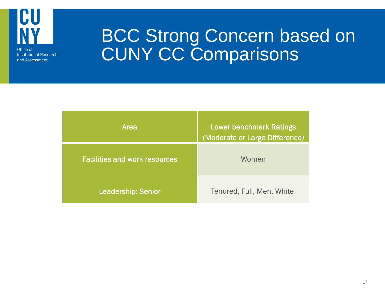

# BCC Strong Concern based on CUNY CC Comparisons

| Area                                 | <b>Lower benchmark Ratings</b><br>(Moderate or Large Difference) |
|--------------------------------------|------------------------------------------------------------------|
| <b>Facilities and work resources</b> | Women                                                            |
| <b>Leadership: Senior</b>            | Tenured, Full, Men, White                                        |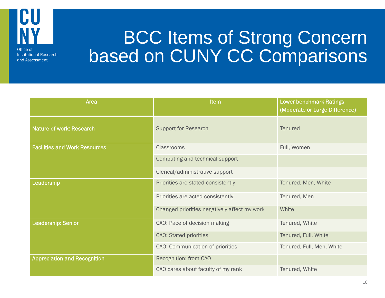

# BCC Items of Strong Concern based on CUNY CC Comparisons

| Area                                 | <b>Item</b>                                  | <b>Lower benchmark Ratings</b><br>(Moderate or Large Difference) |
|--------------------------------------|----------------------------------------------|------------------------------------------------------------------|
| <b>Nature of work: Research</b>      | <b>Support for Research</b>                  | <b>Tenured</b>                                                   |
| <b>Facilities and Work Resources</b> | <b>Classrooms</b>                            | Full, Women                                                      |
|                                      | Computing and technical support              |                                                                  |
|                                      | Clerical/administrative support              |                                                                  |
| Leadership                           | Priorities are stated consistently           | Tenured, Men, White                                              |
|                                      | Priorities are acted consistently            | Tenured, Men                                                     |
|                                      | Changed priorities negatively affect my work | White                                                            |
| <b>Leadership: Senior</b>            | CAO: Pace of decision making                 | Tenured, White                                                   |
|                                      | <b>CAO: Stated priorities</b>                | Tenured, Full, White                                             |
|                                      | CAO: Communication of priorities             | Tenured, Full, Men, White                                        |
| <b>Appreciation and Recognition</b>  | Recognition: from CAO                        |                                                                  |
|                                      | CAO cares about faculty of my rank           | Tenured, White                                                   |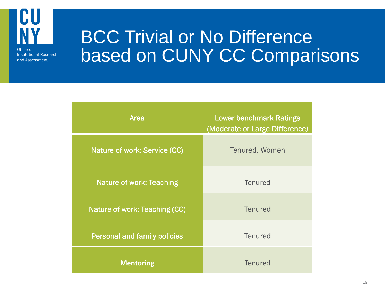

# BCC Trivial or No Difference based on CUNY CC Comparisons

| Area                                | <b>Lower benchmark Ratings</b><br>(Moderate or Large Difference) |
|-------------------------------------|------------------------------------------------------------------|
| Nature of work: Service (CC)        | Tenured, Women                                                   |
| <b>Nature of work: Teaching</b>     | <b>Tenured</b>                                                   |
| Nature of work: Teaching (CC)       | <b>Tenured</b>                                                   |
| <b>Personal and family policies</b> | <b>Tenured</b>                                                   |
| <b>Mentoring</b>                    | <b>Tenured</b>                                                   |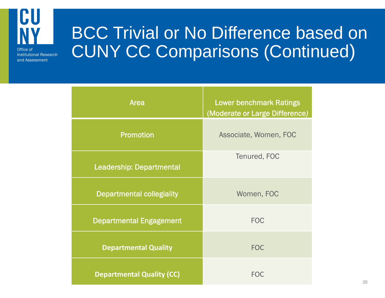

BCC Trivial or No Difference based on CUNY CC Comparisons (Continued)

| Area                             | <b>Lower benchmark Ratings</b><br>(Moderate or Large Difference) |
|----------------------------------|------------------------------------------------------------------|
| <b>Promotion</b>                 | Associate, Women, FOC                                            |
| <b>Leadership: Departmental</b>  | Tenured, FOC                                                     |
| <b>Departmental collegiality</b> | Women, FOC                                                       |
| <b>Departmental Engagement</b>   | <b>FOC</b>                                                       |
| <b>Departmental Quality</b>      | <b>FOC</b>                                                       |
| <b>Departmental Quality (CC)</b> | <b>FOC</b>                                                       |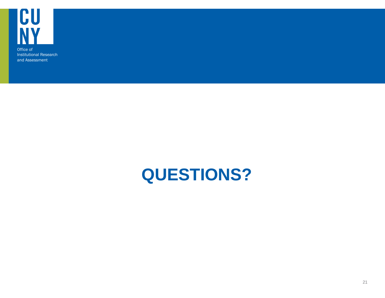

## **QUESTIONS?**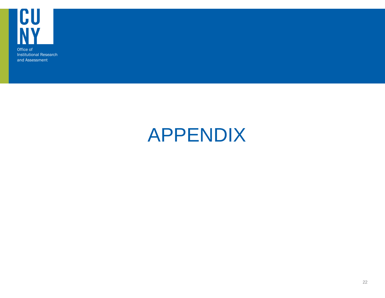

# APPENDIX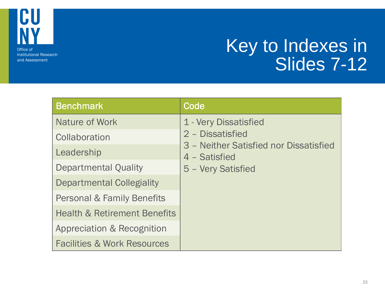

## Key to Indexes in Slides 7-12

| <b>Benchmark</b>                        | Code                                                    |
|-----------------------------------------|---------------------------------------------------------|
| Nature of Work                          | 1 - Very Dissatisfied                                   |
| Collaboration                           | 2 - Dissatisfied                                        |
| Leadership                              | 3 - Neither Satisfied nor Dissatisfied<br>4 - Satisfied |
| <b>Departmental Quality</b>             | 5 - Very Satisfied                                      |
| Departmental Collegiality               |                                                         |
| <b>Personal &amp; Family Benefits</b>   |                                                         |
| <b>Health &amp; Retirement Benefits</b> |                                                         |
| Appreciation & Recognition              |                                                         |
| <b>Facilities &amp; Work Resources</b>  |                                                         |